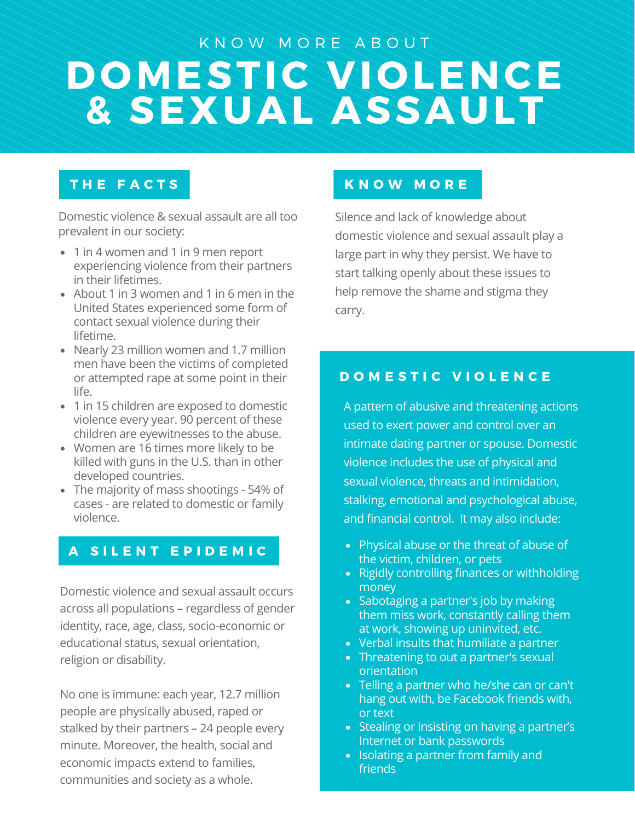# DOMESTIC VIOLENCE & SEXUAL ASSAULT K N O W M O R E A B O U T

## THE FACTS

Domestic violence & sexual assault are all too prevalent in our society:

- 1 in 4 women and 1 in 9 men report experiencing violence from their partners in their lifetimes.
- About 1 in 3 women and 1 in 6 men in the United States experienced some form of contact sexual violence during their lifetime.
- Nearly 23 million women and 1.7 million men have been the victims of completed or attempted rape at some point in their life.
- 1 in 15 children are exposed to domestic violence every year. 90 percent of these children are eyewitnesses to the abuse.
- Women are 16 times more likely to be killed with guns in the U.S. than in other developed countries.
- The majority of mass shootings 54% of cases - are related to domestic or family violence.

## A SILENT EPIDEMIC

Domestic violence and sexual assault occurs across all populations – regardless of gender identity, race, age, class, socio-economic or educational status, sexual orientation, religion or disability.

No one is immune: each year, 12.7 million people are physically abused, raped or stalked by their partners – 24 people every minute. Moreover, the health, social and economic impacts extend to families, communities and society as a whole.

## K N O W M O R E

Silence and lack of knowledge about domestic violence and sexual assault play a large part in why they persist. We have to start talking openly about these issues to help remove the shame and stigma they carry.

## DOMESTIC VIOLENCE

A pattern of abusive and threatening actions used to exert power and control over an intimate dating partner or spouse. Domestic violence includes the use of physical and sexual violence, threats and intimidation, stalking, emotional and psychological abuse, and financial control. It may also include:

- Physical abuse or the threat of abuse of the victim, children, or pets
- Rigidly controlling finances or withholding money
- Sabotaging a partner's job by making them miss work, constantly calling them at work, showing up uninvited, etc.
- Verbal insults that humiliate a partner
- Threatening to out a partner's sexual orientation
- Telling a partner who he/she can or can't hang out with, be Facebook friends with, or text
- Stealing or insisting on having a partner's Internet or bank passwords
- Isolating a partner from family and friends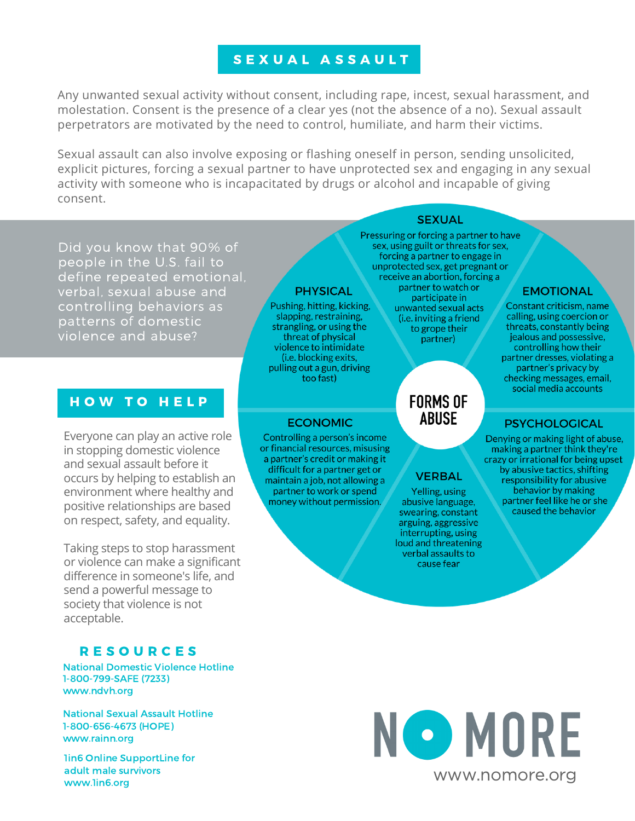## SEXUAL ASSAULT

Any unwanted sexual activity without consent, including rape, incest, sexual harassment, and molestation. Consent is the presence of a clear yes (not the absence of a no). Sexual assault perpetrators are motivated by the need to control, humiliate, and harm their victims.

Sexual assault can also involve exposing or flashing oneself in person, sending unsolicited, explicit pictures, forcing a sexual partner to have unprotected sex and engaging in any sexual activity with someone who is incapacitated by drugs or alcohol and incapable of giving consent.

**SEXUAL** 

Did you know that 90% of people in the U.S. fail to define repeated emotional, verbal, sexual abuse and controlling behaviors as patterns of domestic violence and abuse?

#### HOW TO HELP

Everyone can play an active role in stopping domestic violence and sexual assault before it occurs by helping to establish an environment where healthy and positive relationships are based on respect, safety, and equality.

Taking steps to stop harassment or violence can make a significant difference in someone's life, and send a powerful message to society that violence is not acceptable.

## **RESOURCES**

National Domestic Violence Hotline 1-800-799-SAFE (7233) www.ndvh.org

National Sexual Assault Hotline 1-800-656-4673 (HOPE) www.rainn.org

1in6 Online SupportLine for adult male survivors www.1in6.org

#### **PHYSICAL**

Pushing, hitting, kicking, slapping, restraining, strangling, or using the threat of physical violence to intimidate (i.e. blocking exits, pulling out a gun, driving too fast)

#### **ECONOMIC**

Controlling a person's income or financial resources, misusing a partner's credit or making it difficult for a partner get or maintain a job, not allowing a partner to work or spend money without permission.

Pressuring or forcing a partner to have sex, using guilt or threats for sex, forcing a partner to engage in unprotected sex, get pregnant or receive an abortion, forcing a partner to watch or participate in unwanted sexual acts (i.e. inviting a friend to grope their partner)

## **FORMS OF ABUSE**

## **EMOTIONAL**

Constant criticism, name calling, using coercion or threats, constantly being jealous and possessive, controlling how their partner dresses, violating a partner's privacy by checking messages, email, social media accounts

#### **PSYCHOLOGICAL**

Denying or making light of abuse, making a partner think they're crazy or irrational for being upset by abusive tactics, shifting responsibility for abusive behavior by making partner feel like he or she caused the behavior

## **VERBAL**

Yelling, using abusive language, swearing, constant arguing, aggressive interrupting, using loud and threatening verbal assaults to cause fear

NO MORE www.nomore.org